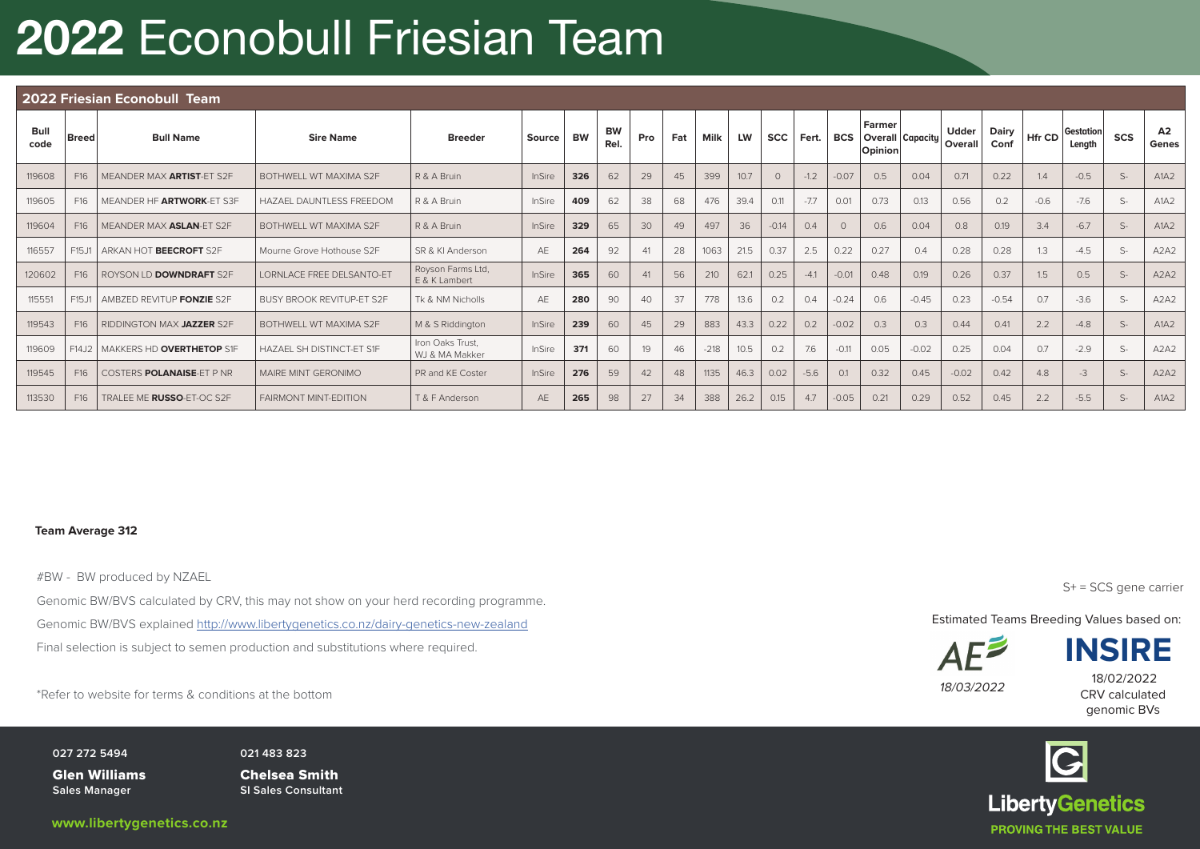# 2022 Econobull Friesian Team

|                     | 2022 Friesian Econobull Team |                                |                                  |                                    |        |           |            |     |     |        |           |             |        |            |                                       |         |                         |               |        |                     |            |                               |
|---------------------|------------------------------|--------------------------------|----------------------------------|------------------------------------|--------|-----------|------------|-----|-----|--------|-----------|-------------|--------|------------|---------------------------------------|---------|-------------------------|---------------|--------|---------------------|------------|-------------------------------|
| <b>Bull</b><br>code | <b>Breed</b>                 | <b>Bull Name</b>               | <b>Sire Name</b>                 | <b>Breeder</b>                     | Source | <b>BW</b> | BW<br>Rel. | Pro | Fat | Milk   | <b>LW</b> | SCC   Fert. |        | <b>BCS</b> | Farmer<br>Overall Capacity<br>Opinion |         | <b>Udder</b><br>Overall | Dairy<br>Conf | Hfr CD | Gestation<br>Length | <b>SCS</b> | A2<br>Genes                   |
| 119608              | F16                          | MEANDER MAX ARTIST-ET S2F      | BOTHWELL WT MAXIMA S2F           | R & A Bruin                        | InSire | 326       | 62         | 29  | 45  | 399    | 10.7      | $\Omega$    | $-1.2$ | $-0.07$    | 0.5                                   | 0.04    | 0.71                    | 0.22          | 1.4    | $-0.5$              | $S-$       | A1A2                          |
| 119605              | F16                          | MEANDER HF ARTWORK-ET S3F      | <b>HAZAEL DAUNTLESS FREEDOM</b>  | R & A Bruin                        | InSire | 409       | 62         | 38  | 68  | 476    | 39.4      | 0.11        | $-7.7$ | 0.01       | 0.73                                  | 0.13    | 0.56                    | 0.2           | $-0.6$ | $-7.6$              | $S-$       | A1A2                          |
| 119604              | F16                          | MEANDER MAX ASLAN-ET S2F       | BOTHWELL WT MAXIMA S2F           | R & A Bruin                        | InSire | 329       | 65         | 30  | 49  | 497    | 36        | $-0.14$     | 0.4    |            | 0.6                                   | 0.04    | 0.8                     | 0.19          | 3.4    | $-6.7$              | $S-$       | A1A2                          |
| 116557              | F15J1                        | ARKAN HOT BEECROFT S2F         | Mourne Grove Hothouse S2F        | SR & KI Anderson                   | AE     | 264       | 92         | 41  | 28  | 1063   | 21.5      | 0.37        | 2.5    | 0.22       | 0.27                                  | 0.4     | 0.28                    | 0.28          | 1.3    | $-4.5$              | $S-$       | A <sub>2</sub> A <sub>2</sub> |
| 120602              | F16                          | ROYSON LD <b>DOWNDRAFT</b> S2F | LORNLACE FREE DELSANTO-ET        | Royson Farms Ltd,<br>E & K Lambert | InSire | 365       | 60         | 41  | 56  | 210    | 62.1      | 0.25        | $-4.1$ | $-0.01$    | 0.48                                  | 0.19    | 0.26                    | 0.37          | 1.5    | 0.5                 | $S-$       | A2A2                          |
| 115551              | F15J1                        | AMBZED REVITUP FONZIE S2F      | <b>BUSY BROOK REVITUP-ET S2F</b> | Tk & NM Nicholls                   | AE     | 280       | 90         | 40  | 37  | 778    | 13.6      | 0.2         | 0.4    | $-0.24$    | 0.6                                   | $-0.45$ | 0.23                    | $-0.54$       | 0.7    | $-3.6$              | $S-$       | A <sub>2</sub> A <sub>2</sub> |
| 119543              | F16                          | RIDDINGTON MAX JAZZER S2F      | BOTHWELL WT MAXIMA S2F           | M & S Riddington                   | InSire | 239       | 60         | 45  | 29  | 883    | 43.3      | 0.22        | 0.2    | $-0.02$    | 0.3                                   | 0.3     | 0.44                    | 0.41          | 2.2    | $-4.8$              | $S-$       | A1A2                          |
| 119609              | F14J2                        | MAKKERS HD OVERTHETOP S1F      | HAZAEL SH DISTINCT-ET S1F        | Iron Oaks Trust.<br>WJ & MA Makker | InSire | 371       | 60         | 19  | 46  | $-218$ | 10.5      | 0.2         | 7.6    | $-0.11$    | 0.05                                  | $-0.02$ | 0.25                    | 0.04          | 0.7    | $-2.9$              | $S-$       | A <sub>2</sub> A <sub>2</sub> |
| 119545              | F16                          | COSTERS POLANAISE-FT P NR      | MAIRE MINT GERONIMO              | PR and KE Coster                   | InSire | 276       | 59         | 42  | 48  | 1135   | 46.3      | 0.02        | $-5.6$ | 0.1        | 0.32                                  | 0.45    | $-0.02$                 | 0.42          | 4.8    | $-3$                | $S-$       | A <sub>2</sub> A <sub>2</sub> |
| 113530              | F16                          | TRALEE ME RUSSO-ET-OC S2F      | <b>FAIRMONT MINT-EDITION</b>     | T & F Anderson                     | AE     | 265       | 98         | 27  | 34  | 388    | 26.2      | 0.15        | 4.7    | $-0.05$    | 0.21                                  | 0.29    | 0.52                    | 0.45          | 2.2    | $-5.5$              | $S-$       | A1A2                          |

### **Team Average 312**

#BW - BW produced by NZAEL

Genomic BW/BVS calculated by CRV, this may not show on your herd recording programme. Genomic BW/BVS explained http://www.libertygenetics.co.nz/dairy-genetics-new-zealand Final selection is subject to semen production and substitutions where required.

\*Refer to website for terms & conditions at the bottom 18/03/2022 12

**027 272 5494** PO Box 78, Matangi 3260, New Zealand

Glen Williams **Sales Manager**

**021 483 823 Glen Williams Chelsea Smith SI Sales Consultant**

S+ = SCS gene carrier

Estimated Teams Breeding Values based on:



**INSIRE**

CRV calculated genomic BVs 18/02/2022

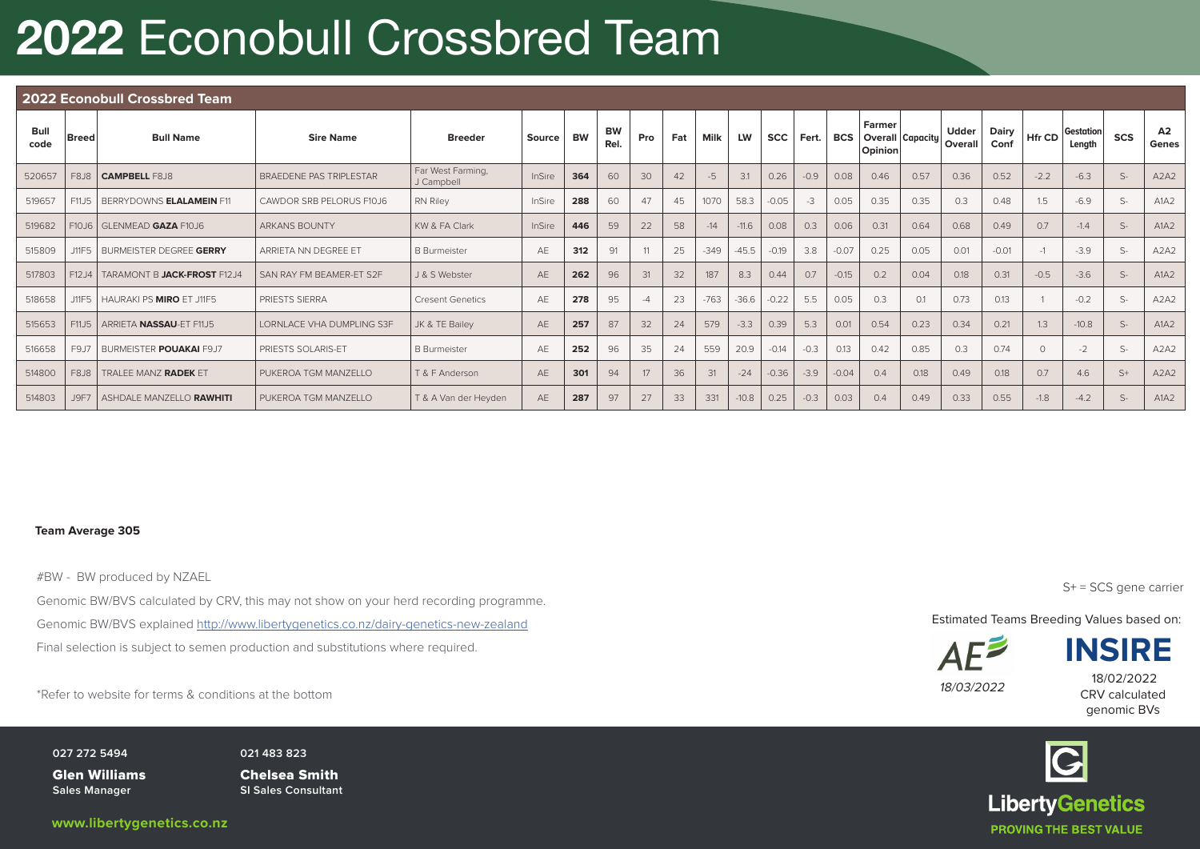### 2022 Econobull Crossbred Team

|              | 2022 Econobull Crossbred Team |                                 |                                  |                                 |        |           |                   |     |     |        |           |            |        |            |                                              |      |                         |                      |         |                     |               |                               |
|--------------|-------------------------------|---------------------------------|----------------------------------|---------------------------------|--------|-----------|-------------------|-----|-----|--------|-----------|------------|--------|------------|----------------------------------------------|------|-------------------------|----------------------|---------|---------------------|---------------|-------------------------------|
| Bull<br>code | <b>Breed</b>                  | <b>Bull Name</b>                | <b>Sire Name</b>                 | <b>Breeder</b>                  | Source | <b>BW</b> | <b>BW</b><br>Rel. | Pro | Fat | Milk   | <b>LW</b> | <b>SCC</b> | Fert.  | <b>BCS</b> | Farmer<br><b>Overall Capacity</b><br>Opinion |      | <b>Udder</b><br>Overall | <b>Dairy</b><br>Conf | Hfr CD  | Gestation<br>Length | <b>SCS</b>    | A2<br>Genes                   |
| 520657       | <b>F8J8</b>                   | <b>CAMPBELL F8J8</b>            | <b>BRAEDENE PAS TRIPLESTAR</b>   | Far West Farming,<br>J Campbell | InSire | 364       | 60                | 30  | 42  | $-5$   | 3.1       | 0.26       | $-0.9$ | 0.08       | 0.46                                         | 0.57 | 0.36                    | 0.52                 | $-2.2$  | $-6.3$              | $S-$          | A2A2                          |
| 519657       | F11J5                         | BERRYDOWNS ELALAMEIN F11        | CAWDOR SRB PELORUS F10J6         | <b>RN Riley</b>                 | InSire | 288       | 60                | 47  | 45  | 1070   | 58.3      | $-0.05$    | $-3$   | 0.05       | 0.35                                         | 0.35 | 0.3                     | 0.48                 | 1.5     | $-6.9$              | $S-$          | A1A2                          |
| 519682       |                               | F10J6 GLENMEAD GAZA F10J6       | <b>ARKANS BOUNTY</b>             | KW & FA Clark                   | InSire | 446       | 59                | 22  | 58  | $-14$  | $-11.6$   | 0.08       | 0.3    | 0.06       | 0.31                                         | 0.64 | 0.68                    | 0.49                 | 0.7     | $-1.4$              | $\mathcal{S}$ | A1A2                          |
| 515809       | J11F5                         | BURMEISTER DEGREE GERRY         | ARRIETA NN DEGREE ET             | <b>B</b> Burmeister             | AE     | 312       | 91                | 11  | 25  | $-349$ | $-45.5$   | $-0.19$    | 3.8    | $-0.07$    | 0.25                                         | 0.05 | 0.01                    | $-0.01$              | $-1$    | $-3.9$              | S             | A <sub>2</sub> A <sub>2</sub> |
| 517803       | F12J4                         | TARAMONT B JACK-FROST F12J4     | SAN RAY FM BEAMER-ET S2F         | J & S Webster                   | AE     | 262       | 96                | 31  | 32  | 187    | 8.3       | 0.44       | 0.7    | $-0.15$    | 0.2                                          | 0.04 | 0.18                    | 0.31                 | $-0.5$  | $-3.6$              | $S-$          | A1A2                          |
| 518658       | J11F5                         | HAURAKI PS MIRO ET J11F5        | <b>PRIESTS SIERRA</b>            | <b>Cresent Genetics</b>         | AE     | 278       | 95                |     | 23  | $-763$ | $-36.6$   | $-0.22$    | 5.5    | 0.05       | 0.3                                          | 0.1  | 0.73                    | 0.13                 |         | $-0.2$              | $S-$          | A <sub>2</sub> A <sub>2</sub> |
| 515653       | F11J5                         | ARRIETA NASSAU-ET F11J5         | <b>LORNLACE VHA DUMPLING S3F</b> | JK & TE Bailey                  | AE     | 257       | 87                | 32  | 24  | 579    | $-3.3$    | 0.39       | 5.3    | 0.01       | 0.54                                         | 0.23 | 0.34                    | 0.21                 | 1.3     | $-10.8$             | $S-$          | A1A2                          |
| 516658       | F9J7                          | BURMEISTER <b>POUAKAI</b> F9J7  | <b>PRIESTS SOLARIS-ET</b>        | <b>B</b> Burmeister             | AE     | 252       | 96                | 35  | 24  | 559    | 20.9      | $-0.14$    | $-0.3$ | 0.13       | 0.42                                         | 0.85 | 0.3                     | 0.74                 | $\circ$ | $-2$                | $S-$          | A <sub>2</sub> A <sub>2</sub> |
| 514800       | F8J8                          | TRALEE MANZ RADEK ET            | PUKEROA TGM MANZELLO             | T & F Anderson                  | AF     | 301       | 94                | 17  | 36  | 31     | $-24$     | $-0.36$    | $-3.9$ | $-0.04$    | 0.4                                          | 0.18 | 0.49                    | 0.18                 | 0.7     | 4.6                 | $S+$          | A <sub>2</sub> A <sub>2</sub> |
| 514803       | J9F7                          | <b>ASHDALE MANZELLO RAWHITI</b> | PUKEROA TGM MANZELLO             | T & A Van der Heyden            | AE     | 287       | 97                | 27  | 33  | 331    | $-10.8$   | 0.25       | $-0.3$ | 0.03       | 0.4                                          | 0.49 | 0.33                    | 0.55                 | $-1.8$  | $-4.2$              | S             | A1A2                          |

### **Team Average 305**

#BW - BW produced by NZAEL

Genomic BW/BVS calculated by CRV, this may not show on your herd recording programme. Genomic BW/BVS explained http://www.libertygenetics.co.nz/dairy-genetics-new-zealand Final selection is subject to semen production and substitutions where required.

18/02/2022<br>Refer to website for terms & conditions at the bottom **18/03/2022** 18/03/2022 18/03/2022 18/03/2022 18/03/2022

**027 272 5494** PO Box 78, Matangi 3260, New Zealand

Glen Williams **Sales Manager**

**021 483 823 Glen Williams Chelsea Smith SI Sales Consultant**

S+ = SCS gene carrier

Estimated Teams Breeding Values based on:



**INSIRE**

CRV calculated genomic BVs

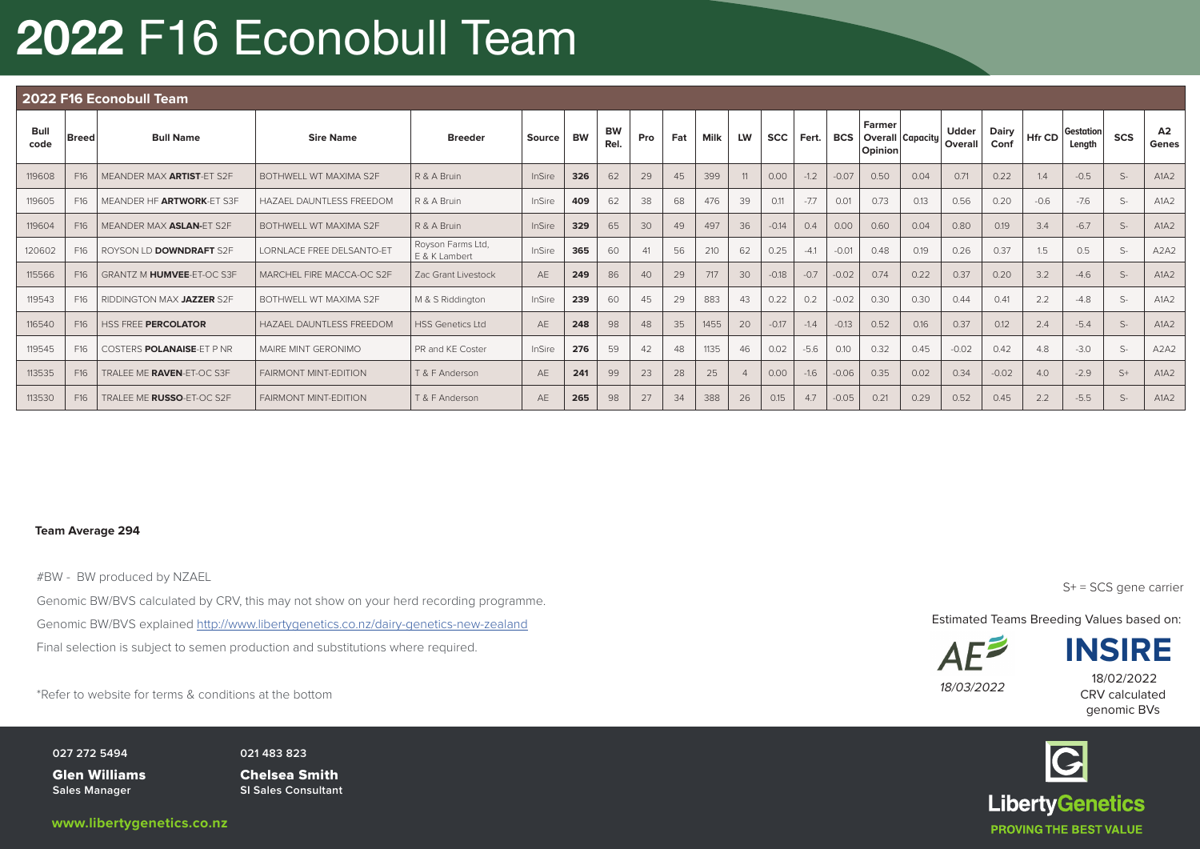# 2022 F16 Econobull Team

|              | 2022 F16 Econobull Team |                                  |                                  |                                    |        |           |                   |     |     |      |           |            |        |            |                   |                         |                         |               |        |                     |      |                               |
|--------------|-------------------------|----------------------------------|----------------------------------|------------------------------------|--------|-----------|-------------------|-----|-----|------|-----------|------------|--------|------------|-------------------|-------------------------|-------------------------|---------------|--------|---------------------|------|-------------------------------|
| Bull<br>code | <b>Breed</b>            | <b>Bull Name</b>                 | <b>Sire Name</b>                 | <b>Breeder</b>                     | Source | <b>BW</b> | <b>BW</b><br>Rel. | Pro | Fat | Milk | <b>LW</b> | <b>SCC</b> | Fert.  | <b>BCS</b> | Farmer<br>Opinion | <b>Overall Capacity</b> | <b>Udder</b><br>Overall | Dairy<br>Conf | Hfr CD | Gestation<br>Length | SCS  | A2<br>Genes                   |
| 119608       | F16                     | MEANDER MAX ARTIST-ET S2F        | BOTHWELL WT MAXIMA S2F           | R & A Bruin                        | InSire | 326       | 62                | 29  | 45  | 399  |           | 0.00       | $-1.2$ | $-0.07$    | 0.50              | 0.04                    | 0.71                    | 0.22          | 1.4    | $-0.5$              | $S-$ | A1A2                          |
| 119605       | F16                     | MEANDER HF ARTWORK-ET S3F        | HAZAEL DAUNTLESS FREEDOM         | R & A Bruin                        | InSire | 409       | 62                | 38  | 68  | 476  | 39        | 0.11       | $-7.7$ | 0.01       | 0.73              | 0.13                    | 0.56                    | 0.20          | $-0.6$ | $-7.6$              | $S-$ | A1A2                          |
| 119604       | F16                     | MEANDER MAX ASLAN-ET S2F         | BOTHWELL WT MAXIMA S2F           | R & A Bruin                        | InSire | 329       | 65                | 30  | 49  | 497  | 36        | $-0.14$    | 0.4    | 0.00       | 0.60              | 0.04                    | 0.80                    | 0.19          | 3.4    | $-6.7$              | $S-$ | A1A2                          |
| 120602       | F16                     | ROYSON LD DOWNDRAFT S2F          | <b>LORNLACE FREE DELSANTO-ET</b> | Royson Farms Ltd,<br>E & K Lambert | InSire | 365       | 60                | 41  | 56  | 210  | 62        | 0.25       | $-4.1$ | $-0.01$    | 0.48              | 0.19                    | 0.26                    | 0.37          | 1.5    | 0.5                 | $S-$ | A2A2                          |
| 115566       | F16                     | GRANTZ M HUMVEE-ET-OC S3F        | MARCHEL FIRE MACCA-OC S2F        | Zac Grant Livestock                | AF     | 249       | 86                | 40  | 29  | 717  | 30        | $-0.18$    | $-0.7$ | $-0.02$    | 0.74              | 0.22                    | 0.37                    | 0.20          | 3.2    | $-4.6$              | $S-$ | A1A2                          |
| 119543       | F16                     | RIDDINGTON MAX JAZZER S2F        | BOTHWELL WT MAXIMA S2F           | M & S Riddington                   | InSire | 239       | 60                | 45  | 29  | 883  | 43        | 0.22       | 0.2    | $-0.02$    | 0.30              | 0.30                    | 0.44                    | 0.41          | 2.2    | $-4.8$              | $S-$ | A1A2                          |
| 116540       | F <sub>16</sub>         | <b>HSS FREE PERCOLATOR</b>       | <b>HAZAEL DAUNTLESS FREEDOM</b>  | <b>HSS Genetics Ltd</b>            | AE     | 248       | 98                | 48  | 35  | 1455 | 20        | $-0.17$    | $-1.4$ | $-0.13$    | 0.52              | 0.16                    | 0.37                    | 0.12          | 2.4    | $-5.4$              | $S-$ | A1A2                          |
| 119545       | F16                     | COSTERS <b>POLANAISE-ET P NR</b> | MAIRE MINT GERONIMO              | PR and KE Coster                   | InSire | 276       | 59                | 42  | 48  | 1135 | 46        | 0.02       | $-5.6$ | 0.10       | 0.32              | 0.45                    | $-0.02$                 | 0.42          | 4.8    | $-3.0$              | $S-$ | A <sub>2</sub> A <sub>2</sub> |
| 113535       | F16                     | TRALEE ME RAVEN-ET-OC S3F        | <b>FAIRMONT MINT-EDITION</b>     | T & F Anderson                     | AE     | 241       | 99                | 23  | 28  | 25   |           | 0.00       | $-1.6$ | $-0.06$    | 0.35              | 0.02                    | 0.34                    | $-0.02$       | 4.0    | $-2.9$              | $S+$ | A1A2                          |
| 113530       | F16                     | TRALEE ME RUSSO-ET-OC S2F        | <b>FAIRMONT MINT-EDITION</b>     | T & F Anderson                     | AE     | 265       | 98                | 27  | 34  | 388  | 26        | 0.15       | 4.7    | $-0.05$    | 0.21              | 0.29                    | 0.52                    | 0.45          | 2.2    | $-5.5$              | $S-$ | A1A2                          |

#### **Team Average 294**

#BW - BW produced by NZAEL

Genomic BW/BVS calculated by CRV, this may not show on your herd recording programme. Genomic BW/BVS explained http://www.libertygenetics.co.nz/dairy-genetics-new-zealand Final selection is subject to semen production and substitutions where required.

\*Refer to website for terms & conditions at the bottom 18/03/2022 12

**027 272 5494** PO Box 78, Matangi 3260, New Zealand

Glen Williams **Sales Manager**

**021 483 823 Glen Williams Chelsea Smith SI Sales Consultant**

S+ = SCS gene carrier

Estimated Teams Breeding Values based on:



**INSIRE**

CRV calculated genomic BVs 18/02/2022

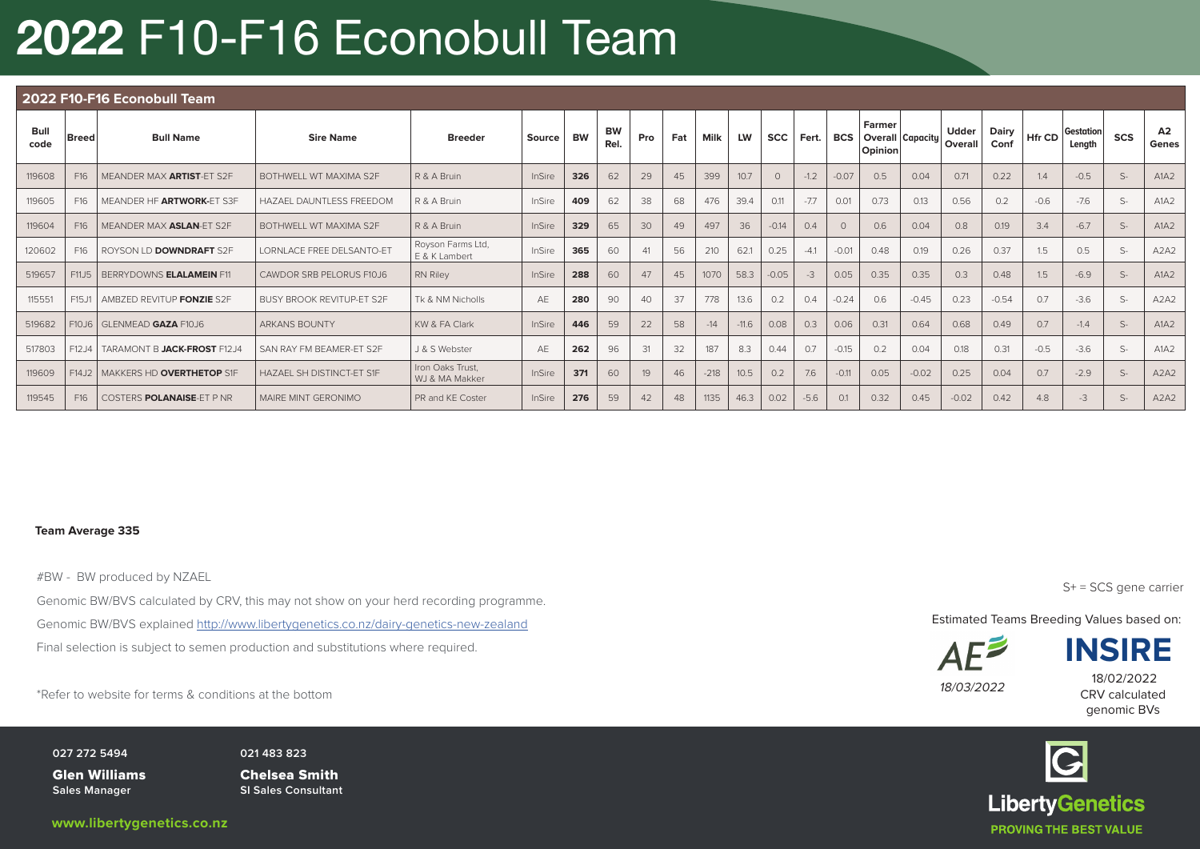# 2022 F10-F16 Econobull Team

|              | 2022 F10-F16 Econobull Team |                                  |                                  |                                    |        |           |                   |     |     |             |           |             |        |            |                                       |         |                  |               |        |                     |      |                               |
|--------------|-----------------------------|----------------------------------|----------------------------------|------------------------------------|--------|-----------|-------------------|-----|-----|-------------|-----------|-------------|--------|------------|---------------------------------------|---------|------------------|---------------|--------|---------------------|------|-------------------------------|
| Bull<br>code | Breed <sup>!</sup>          | <b>Bull Name</b>                 | <b>Sire Name</b>                 | <b>Breeder</b>                     | Source | <b>BW</b> | <b>BW</b><br>Rel. | Pro | Fat | <b>Milk</b> | <b>LW</b> | SCC   Fert. |        | <b>BCS</b> | Farmer<br>Overall Capacity<br>Opinion |         | Udder<br>Overall | Dairy<br>Conf | Hfr CD | Gestation<br>Length | SCS  | A2<br>Genes                   |
| 119608       | F16                         | MEANDER MAX ARTIST-ET S2F        | BOTHWELL WT MAXIMA S2F           | R & A Bruin                        | InSire | 326       | 62                | 29  | 45  | 399         | 10.7      | $\Omega$    | $-1.2$ | $-0.07$    | 0.5                                   | 0.04    | 0.71             | 0.22          | 1.4    | $-0.5$              | $S-$ | A1A2                          |
| 119605       | F16                         | MEANDER HF ARTWORK-ET S3F        | HAZAEL DAUNTLESS FREEDOM         | R & A Bruin                        | InSire | 409       | 62                | 38  | 68  | 476         | 39.4      | 0.11        | $-7.7$ | 0.01       | 0.73                                  | 0.13    | 0.56             | 0.2           | $-0.6$ | $-7.6$              | $S-$ | A1A2                          |
| 119604       | F16                         | MEANDER MAX ASLAN-ET S2F         | BOTHWELL WT MAXIMA S2F           | R & A Bruin                        | InSire | 329       | 65                | 30  | 49  | 497         | 36        | $-0.14$     | 0.4    |            | 0.6                                   | 0.04    | 0.8              | 0.19          | 3.4    | $-6.7$              | $S-$ | A1A2                          |
| 120602       | F16                         | ROYSON LD <b>DOWNDRAFT</b> S2F   | <b>LORNLACE FREE DELSANTO-ET</b> | Royson Farms Ltd,<br>E & K Lambert | InSire | 365       | 60                | 41  | 56  | 210         | 62.1      | 0.25        | $-41$  | $-0.01$    | 0.48                                  | 0.19    | 0.26             | 0.37          | 1.5    | 0.5                 | $S-$ | A <sub>2</sub> A <sub>2</sub> |
| 519657       | F11J5                       | BERRYDOWNS ELALAMEIN F11         | CAWDOR SRB PELORUS F10J6         | <b>RN Riley</b>                    | InSire | 288       | 60                | 47  | 45  | 1070        | 58.3      | $-0.05$     | $-3$   | 0.05       | 0.35                                  | 0.35    | 0.3              | 0.48          | 1.5    | $-6.9$              | $S-$ | A1A2                          |
| 115551       | F15J1                       | AMBZED REVITUP FONZIE S2F        | <b>BUSY BROOK REVITUP-ET S2F</b> | Tk & NM Nicholls                   | AE     | 280       | 90                | 40  | 37  | 778         | 13.6      | 0.2         | 0.4    | $-0.24$    | 0.6                                   | $-0.45$ | 0.23             | $-0.54$       | 0.7    | $-3.6$              | $S-$ | A <sub>2</sub> A <sub>2</sub> |
| 519682       | F10J6                       | <b>GLENMEAD GAZA F10J6</b>       | <b>ARKANS BOUNTY</b>             | KW & FA Clark                      | InSire | 446       | 59                | 22  | 58  | $-14$       | $-11.6$   | 0.08        | 0.3    | 0.06       | 0.31                                  | 0.64    | 0.68             | 0.49          | 0.7    | $-1.4$              | $S-$ | A1A2                          |
| 517803       | F12J4                       | TARAMONT B JACK-FROST F12J4      | SAN RAY FM BEAMER-ET S2F         | J & S Webster                      | AE     | 262       | 96                | 31  | 32  | 187         | 8.3       | 0.44        | 0.7    | $-0.15$    | 0.2                                   | 0.04    | 0.18             | 0.31          | $-0.5$ | $-3.6$              | $S-$ | A1A2                          |
| 119609       | F14J2                       | MAKKERS HD OVERTHETOP S1F        | HAZAFI SH DISTINCT-FT S1F        | Iron Oaks Trust,<br>WJ & MA Makker | InSire | 371       | 60                | 19  | 46  | $-218$      | 10.5      | 0.2         | 7.6    | $-0.11$    | 0.05                                  | $-0.02$ | 0.25             | 0.04          | 0.7    | $-2.9$              | $S-$ | A <sub>2</sub> A <sub>2</sub> |
| 119545       | F <sub>16</sub>             | COSTERS <b>POLANAISE-ET P NR</b> | MAIRE MINT GERONIMO              | PR and KE Coster                   | InSire | 276       | 59                | 42  | 48  | 1135        | 46.3      | 0.02        | $-5.6$ | 0.1        | 0.32                                  | 0.45    | $-0.02$          | 0.42          | 4.8    | $-3$                | $S-$ | A <sub>2</sub> A <sub>2</sub> |

#### **Team Average 335**

#BW - BW produced by NZAEL

Genomic BW/BVS calculated by CRV, this may not show on your herd recording programme. Genomic BW/BVS explained http://www.libertygenetics.co.nz/dairy-genetics-new-zealand Final selection is subject to semen production and substitutions where required.

\*Refer to website for terms & conditions at the bottom 18/03/2022 12

**027 272 5494** PO Box 78, Matangi 3260, New Zealand

Glen Williams **Sales Manager**

**021 483 823 Glen Williams Chelsea Smith SI Sales Consultant**

S+ = SCS gene carrier

Estimated Teams Breeding Values based on:



**INSIRE**

CRV calculated genomic BVs 18/02/2022